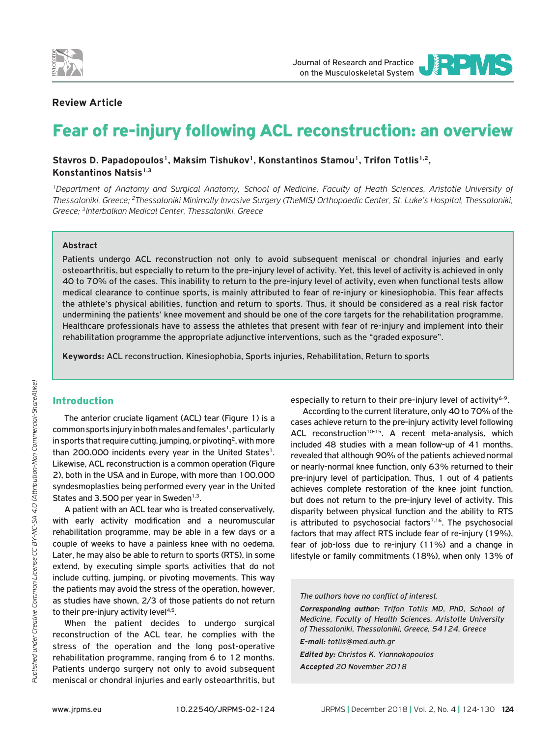



## **Review Article**

# Fear of re-injury following ACL reconstruction: an overview

Stavros D. Papadopoulos<sup>1</sup>, Maksim Tishukov<sup>1</sup>, Konstantinos Stamou<sup>1</sup>, Trifon Totlis<sup>1,2</sup>, **Konstantinos Natsis1,3**

*1Department of Anatomy and Surgical Anatomy, School of Medicine, Faculty of Heath Sciences, Aristotle University of Thessaloniki, Greece; 2Thessaloniki Minimally Invasive Surgery (TheMIS) Orthopaedic Center, St. Luke's Hospital, Thessaloniki, Greece; 3Interbalkan Medical Center, Thessaloniki, Greece*

## **Abstract**

Patients undergo ACL reconstruction not only to avoid subsequent meniscal or chondral injuries and early osteoarthritis, but especially to return to the pre-injury level of activity. Yet, this level of activity is achieved in only 40 to 70% of the cases. This inability to return to the pre-injury level of activity, even when functional tests allow medical clearance to continue sports, is mainly attributed to fear of re-injury or kinesiophobia. This fear affects the athlete's physical abilities, function and return to sports. Thus, it should be considered as a real risk factor undermining the patients' knee movement and should be one of the core targets for the rehabilitation programme. Healthcare professionals have to assess the athletes that present with fear of re-injury and implement into their rehabilitation programme the appropriate adjunctive interventions, such as the "graded exposure".

**Keywords:** ACL reconstruction, Kinesiophobia, Sports injuries, Rehabilitation, Return to sports

# Introduction

The anterior cruciate ligament (ACL) tear (Figure 1) is a common sports injury in both males and females<sup>1</sup>, particularly in sports that require cutting, jumping, or pivoting<sup>2</sup>, with more than 200.000 incidents every year in the United States<sup>1</sup>. Likewise, ACL reconstruction is a common operation (Figure 2), both in the USA and in Europe, with more than 100.000 syndesmoplasties being performed every year in the United States and 3.500 per year in Sweden<sup>1,3</sup>.

A patient with an ACL tear who is treated conservatively, with early activity modification and a neuromuscular rehabilitation programme, may be able in a few days or a couple of weeks to have a painless knee with no oedema. Later, he may also be able to return to sports (RTS), in some extend, by executing simple sports activities that do not include cutting, jumping, or pivoting movements. This way the patients may avoid the stress of the operation, however, as studies have shown, 2/3 of those patients do not return to their pre-injury activity level<sup>4,5</sup>.

When the patient decides to undergo surgical reconstruction of the ACL tear, he complies with the stress of the operation and the long post-operative rehabilitation programme, ranging from 6 to 12 months. Patients undergo surgery not only to avoid subsequent meniscal or chondral injuries and early osteoarthritis, but especially to return to their pre-injury level of activity<sup>6-9</sup>.

According to the current literature, only 40 to 70% of the cases achieve return to the pre-injury activity level following ACL reconstruction<sup>10-15</sup>. A recent meta-analysis, which included 48 studies with a mean follow-up of 41 months, revealed that although 90% of the patients achieved normal or nearly-normal knee function, only 63% returned to their pre-injury level of participation. Thus, 1 out of 4 patients achieves complete restoration of the knee joint function, but does not return to the pre-injury level of activity. This disparity between physical function and the ability to RTS is attributed to psychosocial factors<sup> $7,16$ </sup>. The psychosocial factors that may affect RTS include fear of re-injury (19%), fear of job-loss due to re-injury (11%) and a change in lifestyle or family commitments (18%), when only 13% of

*The authors have no conflict of interest.*

*Corresponding author: Trifon Totlis MD, PhD, School of Medicine, Faculty of Health Sciences, Aristotle University of Thessaloniki, Thessaloniki, Greece, 54124, Greece E-mail: totlis@med.auth.gr*

*Edited by: Christos K. Yiannakopoulos Accepted 20 November 2018*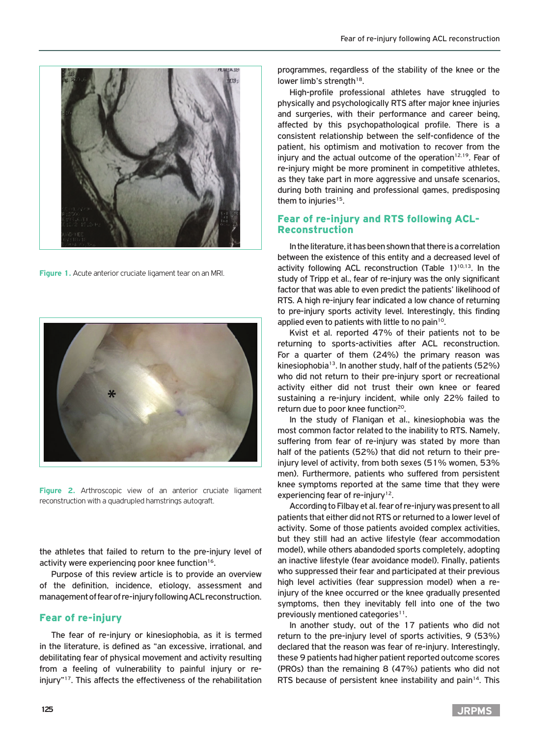

**Figure 1.** Acute anterior cruciate ligament tear on an MRI.



**Figure 2.** Arthroscopic view of an anterior cruciate ligament reconstruction with a quadrupled hamstrings autograft.

the athletes that failed to return to the pre-injury level of activity were experiencing poor knee function<sup>16</sup>.

Purpose of this review article is to provide an overview of the definition, incidence, etiology, assessment and management of fear of re-injury following ACL reconstruction.

## Fear of re-injury

The fear of re-injury or kinesiophobia, as it is termed in the literature, is defined as "an excessive, irrational, and debilitating fear of physical movement and activity resulting from a feeling of vulnerability to painful injury or reinjury"17. This affects the effectiveness of the rehabilitation programmes, regardless of the stability of the knee or the lower limb's strength<sup>18</sup>.

High-profile professional athletes have struggled to physically and psychologically RTS after major knee injuries and surgeries, with their performance and career being, affected by this psychopathological profile. There is a consistent relationship between the self-confidence of the patient, his optimism and motivation to recover from the injury and the actual outcome of the operation $12,19$ . Fear of re-injury might be more prominent in competitive athletes, as they take part in more aggressive and unsafe scenarios, during both training and professional games, predisposing them to injuries<sup>15</sup>.

# Fear of re-injury and RTS following ACL-Reconstruction

In the literature, it has been shown that there is a correlation between the existence of this entity and a decreased level of activity following ACL reconstruction (Table 1)<sup>10,13</sup>. In the study of Tripp et al., fear of re-injury was the only significant factor that was able to even predict the patients' likelihood of RTS. A high re-injury fear indicated a low chance of returning to pre-injury sports activity level. Interestingly, this finding applied even to patients with little to no pain $10$ .

Kvist et al. reported 47% of their patients not to be returning to sports-activities after ACL reconstruction. For a quarter of them (24%) the primary reason was kinesiophobia<sup>13</sup>. In another study, half of the patients (52%) who did not return to their pre-injury sport or recreational activity either did not trust their own knee or feared sustaining a re-injury incident, while only 22% failed to return due to poor knee function<sup>20</sup>.

In the study of Flanigan et al., kinesiophobia was the most common factor related to the inability to RTS. Namely, suffering from fear of re-injury was stated by more than half of the patients (52%) that did not return to their preinjury level of activity, from both sexes (51% women, 53% men). Furthermore, patients who suffered from persistent knee symptoms reported at the same time that they were experiencing fear of re-injury<sup>12</sup>.

According to Filbay et al. fear of re-injury was present to all patients that either did not RTS or returned to a lower level of activity. Some of those patients avoided complex activities, but they still had an active lifestyle (fear accommodation model), while others abandoded sports completely, adopting an inactive lifestyle (fear avoidance model). Finally, patients who suppressed their fear and participated at their previous high level activities (fear suppression model) when a reinjury of the knee occurred or the knee gradually presented symptoms, then they inevitably fell into one of the two previously mentioned categories<sup>11</sup>.

In another study, out of the 17 patients who did not return to the pre-injury level of sports activities, 9 (53%) declared that the reason was fear of re-injury. Interestingly, these 9 patients had higher patient reported outcome scores (PROs) than the remaining 8 (47%) patients who did not RTS because of persistent knee instability and pain<sup>14</sup>. This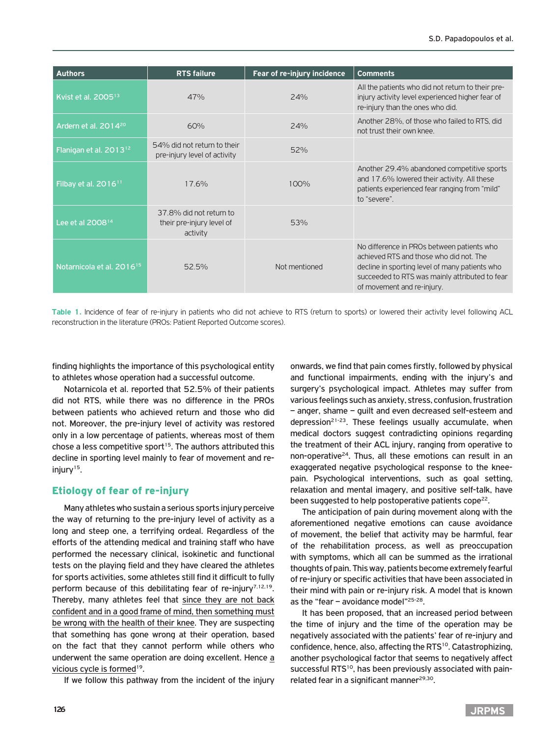| <b>Authors</b>                        | <b>RTS failure</b>                                               | Fear of re-injury incidence | <b>Comments</b>                                                                                                                                                                                                        |
|---------------------------------------|------------------------------------------------------------------|-----------------------------|------------------------------------------------------------------------------------------------------------------------------------------------------------------------------------------------------------------------|
| Kvist et al. 2005 <sup>13</sup>       | 47%                                                              | 24%                         | All the patients who did not return to their pre-<br>injury activity level experienced higher fear of<br>re-injury than the ones who did.                                                                              |
| Ardern et al. 2014 <sup>20</sup>      | 60%                                                              | 24%                         | Another 28%, of those who failed to RTS, did<br>not trust their own knee.                                                                                                                                              |
| Flanigan et al. 2013 <sup>12</sup>    | 54% did not return to their<br>pre-injury level of activity      | 52%                         |                                                                                                                                                                                                                        |
| Filbay et al. $201611$                | 17.6%                                                            | 100%                        | Another 29.4% abandoned competitive sports<br>and 17.6% lowered their activity. All these<br>patients experienced fear ranging from "mild"<br>to "severe".                                                             |
| Lee et al 2008 <sup>14</sup>          | 37.8% did not return to<br>their pre-injury level of<br>activity | 53%                         |                                                                                                                                                                                                                        |
| Notarnicola et al. 2016 <sup>15</sup> | 52.5%                                                            | Not mentioned               | No difference in PROs between patients who<br>achieved RTS and those who did not The<br>decline in sporting level of many patients who<br>succeeded to RTS was mainly attributed to fear<br>of movement and re-injury. |

**Table 1.** Incidence of fear of re-injury in patients who did not achieve to RTS (return to sports) or lowered their activity level following ACL reconstruction in the literature (PROs: Patient Reported Outcome scores).

finding highlights the importance of this psychological entity to athletes whose operation had a successful outcome.

Notarnicola et al. reported that 52.5% of their patients did not RTS, while there was no difference in the PROs between patients who achieved return and those who did not. Moreover, the pre-injury level of activity was restored only in a low percentage of patients, whereas most of them chose a less competitive sport<sup>15</sup>. The authors attributed this decline in sporting level mainly to fear of movement and reinjury<sup>15</sup>.

# Etiology of fear of re-injury

Many athletes who sustain a serious sports injury perceive the way of returning to the pre-injury level of activity as a long and steep one, a terrifying ordeal. Regardless of the efforts of the attending medical and training staff who have performed the necessary clinical, isokinetic and functional tests on the playing field and they have cleared the athletes for sports activities, some athletes still find it difficult to fully perform because of this debilitating fear of re-injury<sup>7,12,19</sup>. Thereby, many athletes feel that since they are not back confident and in a good frame of mind, then something must be wrong with the health of their knee. They are suspecting that something has gone wrong at their operation, based on the fact that they cannot perform while others who underwent the same operation are doing excellent. Hence a vicious cycle is formed<sup>19</sup>.

If we follow this pathway from the incident of the injury

onwards, we find that pain comes firstly, followed by physical and functional impairments, ending with the injury's and surgery's psychological impact. Athletes may suffer from various feelings such as anxiety, stress, confusion, frustration – anger, shame – guilt and even decreased self-esteem and depression<sup>21-23</sup>. These feelings usually accumulate, when medical doctors suggest contradicting opinions regarding the treatment of their ACL injury, ranging from operative to non-operative<sup>24</sup>. Thus, all these emotions can result in an exaggerated negative psychological response to the kneepain. Psychological interventions, such as goal setting, relaxation and mental imagery, and positive self-talk, have been suggested to help postoperative patients cope<sup>22</sup>.

The anticipation of pain during movement along with the aforementioned negative emotions can cause avoidance of movement, the belief that activity may be harmful, fear of the rehabilitation process, as well as preoccupation with symptoms, which all can be summed as the irrational thoughts of pain. This way, patients become extremely fearful of re-injury or specific activities that have been associated in their mind with pain or re-injury risk. A model that is known as the "fear  $-$  avoidance model"<sup>25-28</sup>.

It has been proposed, that an increased period between the time of injury and the time of the operation may be negatively associated with the patients' fear of re-injury and confidence, hence, also, affecting the RTS<sup>10</sup>. Catastrophizing, another psychological factor that seems to negatively affect successful RTS<sup>10</sup>, has been previously associated with painrelated fear in a significant manner $29,30$ .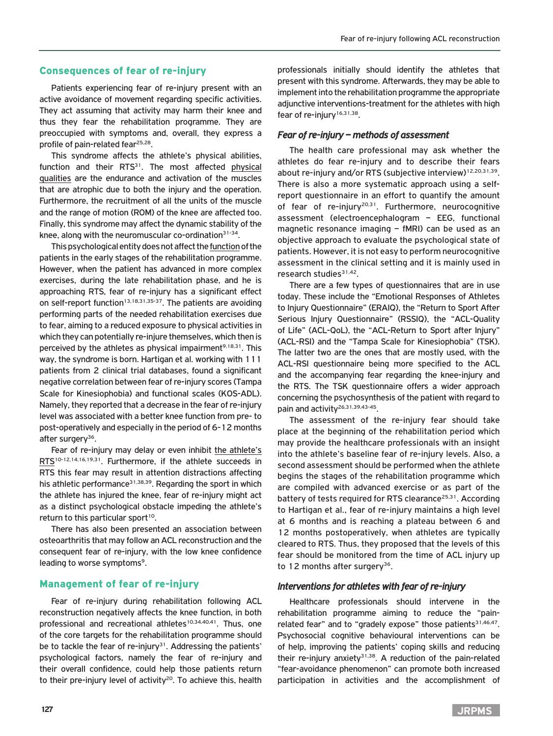## Consequences of fear of re-injury

Patients experiencing fear of re-injury present with an active avoidance of movement regarding specific activities. They act assuming that activity may harm their knee and thus they fear the rehabilitation programme. They are preoccupied with symptoms and, overall, they express a profile of pain-related fear<sup>25,28</sup>.

This syndrome affects the athlete's physical abilities, function and their RTS<sup>31</sup>. The most affected physical qualities are the endurance and activation of the muscles that are atrophic due to both the injury and the operation. Furthermore, the recruitment of all the units of the muscle and the range of motion (ROM) of the knee are affected too. Finally, this syndrome may affect the dynamic stability of the knee, along with the neuromuscular co-ordination<sup>31-34</sup>.

This psychological entity does not affect the function of the patients in the early stages of the rehabilitation programme. However, when the patient has advanced in more complex exercises, during the late rehabilitation phase, and he is approaching RTS, fear of re-injury has a significant effect on self-report function<sup>13,18,31,35-37</sup>. The patients are avoiding performing parts of the needed rehabilitation exercises due to fear, aiming to a reduced exposure to physical activities in which they can potentially re-injure themselves, which then is perceived by the athletes as physical impairment<sup>9,18,31</sup>. This way, the syndrome is born. Hartigan et al. working with 111 patients from 2 clinical trial databases, found a significant negative correlation between fear of re-injury scores (Tampa Scale for Kinesiophobia) and functional scales (KOS-ADL). Namely, they reported that a decrease in the fear of re-injury level was associated with a better knee function from pre- to post-operatively and especially in the period of 6-12 months after surgery<sup>36</sup>.

Fear of re-injury may delay or even inhibit the athlete's RTS<sup>10-12,14,16,19,31</sup>. Furthermore, if the athlete succeeds in RTS this fear may result in attention distractions affecting his athletic performance<sup>31,38,39</sup>. Regarding the sport in which the athlete has injured the knee, fear of re-injury might act as a distinct psychological obstacle impeding the athlete's return to this particular sport<sup>10</sup>.

There has also been presented an association between osteoarthritis that may follow an ACL reconstruction and the consequent fear of re-injury, with the low knee confidence leading to worse symptoms<sup>9</sup>.

#### Management of fear of re-injury

Fear of re-injury during rehabilitation following ACL reconstruction negatively affects the knee function, in both professional and recreational athletes<sup>10,34,40,41</sup>. Thus, one of the core targets for the rehabilitation programme should be to tackle the fear of re-injury<sup>31</sup>. Addressing the patients' psychological factors, namely the fear of re-injury and their overall confidence, could help those patients return to their pre-injury level of activity<sup>20</sup>. To achieve this, health

professionals initially should identify the athletes that present with this syndrome. Afterwards, they may be able to implement into the rehabilitation programme the appropriate adjunctive interventions-treatment for the athletes with high fear of re-injury<sup>16,31,38</sup>.

#### *Fear of re-injury – methods of assessment*

The health care professional may ask whether the athletes do fear re-injury and to describe their fears about re-injury and/or RTS (subjective interview)<sup>12,20,31,39</sup>. There is also a more systematic approach using a selfreport questionnaire in an effort to quantify the amount of fear of re-injury<sup>20,31</sup>. Furthermore, neurocognitive assessment (electroencephalogram – EEG, functional magnetic resonance imaging – fMRI) can be used as an objective approach to evaluate the psychological state of patients. However, it is not easy to perform neurocognitive assessment in the clinical setting and it is mainly used in research studies<sup>31,42</sup>.

There are a few types of questionnaires that are in use today. These include the "Emotional Responses of Athletes to Injury Questionnaire" (ERAIQ), the "Return to Sport After Serious Injury Questionnaire" (RSSIQ), the "ACL-Quality of Life" (ACL-QoL), the "ACL-Return to Sport after Injury" (ACL-RSI) and the "Tampa Scale for Kinesiophobia" (TSK). The latter two are the ones that are mostly used, with the ACL-RSI questionnaire being more specified to the ACL and the accompanying fear regarding the knee-injury and the RTS. Τhe TSK questionnaire offers a wider approach concerning the psychosynthesis of the patient with regard to pain and activity26,31,39,43-45.

The assessment of the re-injury fear should take place at the beginning of the rehabilitation period which may provide the healthcare professionals with an insight into the athlete's baseline fear of re-injury levels. Also, a second assessment should be performed when the athlete begins the stages of the rehabilitation programme which are compiled with advanced exercise or as part of the battery of tests required for RTS clearance<sup>25,31</sup>. According to Hartigan et al., fear of re-injury maintains a high level at 6 months and is reaching a plateau between 6 and 12 months postoperatively, when athletes are typically cleared to RTS. Thus, they proposed that the levels of this fear should be monitored from the time of ACL injury up to 12 months after surgery<sup>36</sup>.

#### *Interventions for athletes with fear of re-injury*

Healthcare professionals should intervene in the rehabilitation programme aiming to reduce the "painrelated fear" and to "gradely expose" those patients $31,46,47$ . Psychosocial cognitive behavioural interventions can be of help, improving the patients' coping skills and reducing their re-injury anxiety $31,38$ . A reduction of the pain-related "fear-avoidance phenomenon" can promote both increased participation in activities and the accomplishment of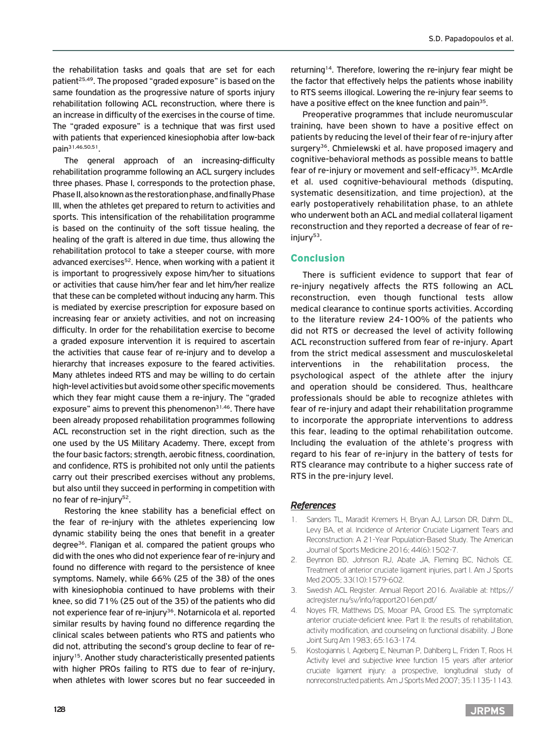the rehabilitation tasks and goals that are set for each patient<sup>25,49</sup>. The proposed "graded exposure" is based on the same foundation as the progressive nature of sports injury rehabilitation following ACL reconstruction, where there is an increase in difficulty of the exercises in the course of time. The "graded exposure" is a technique that was first used with patients that experienced kinesiophobia after low-back pain31,46,50,51.

The general approach of an increasing-difficulty rehabilitation programme following an ACL surgery includes three phases. Phase I, corresponds to the protection phase, Phase II, also known as the restoration phase, and finally Phase III, when the athletes get prepared to return to activities and sports. This intensification of the rehabilitation programme is based on the continuity of the soft tissue healing, the healing of the graft is altered in due time, thus allowing the rehabilitation protocol to take a steeper course, with more advanced exercises<sup>52</sup>. Hence, when working with a patient it is important to progressively expose him/her to situations or activities that cause him/her fear and let him/her realize that these can be completed without inducing any harm. This is mediated by exercise prescription for exposure based on increasing fear or anxiety activities, and not on increasing difficulty. In order for the rehabilitation exercise to become a graded exposure intervention it is required to ascertain the activities that cause fear of re-injury and to develop a hierarchy that increases exposure to the feared activities. Many athletes indeed RTS and may be willing to do certain high-level activities but avoid some other specific movements which they fear might cause them a re-injury. The "graded exposure" aims to prevent this phenomenon $31,46$ . There have been already proposed rehabilitation programmes following ACL reconstruction set in the right direction, such as the one used by the US Military Academy. There, except from the four basic factors; strength, aerobic fitness, coordination, and confidence, RTS is prohibited not only until the patients carry out their prescribed exercises without any problems, but also until they succeed in performing in competition with no fear of re-injury<sup>52</sup>.

Restoring the knee stability has a beneficial effect on the fear of re-injury with the athletes experiencing low dynamic stability being the ones that benefit in a greater degree36. Flanigan et al. compared the patient groups who did with the ones who did not experience fear of re-injury and found no difference with regard to the persistence of knee symptoms. Namely, while 66% (25 of the 38) of the ones with kinesiophobia continued to have problems with their knee, so did 71% (25 out of the 35) of the patients who did not experience fear of re-injury<sup>36</sup>. Notarnicola et al. reported similar results by having found no difference regarding the clinical scales between patients who RTS and patients who did not, attributing the second's group decline to fear of reinjury<sup>15</sup>. Another study characteristically presented patients with higher PROs failing to RTS due to fear of re-injury, when athletes with lower scores but no fear succeeded in

returning<sup>14</sup>. Therefore, lowering the re-injury fear might be the factor that effectively helps the patients whose inability to RTS seems illogical. Lowering the re-injury fear seems to have a positive effect on the knee function and pain<sup>35</sup>.

Preoperative programmes that include neuromuscular training, have been shown to have a positive effect on patients by reducing the level of their fear of re-injury after surgery<sup>36</sup>. Chmielewski et al. have proposed imagery and cognitive-behavioral methods as possible means to battle fear of re-injury or movement and self-efficacy<sup>35</sup>. McArdle et al. used cognitive-behavioural methods (disputing, systematic desensitization, and time projection), at the early postoperatively rehabilitation phase, to an athlete who underwent both an ACL and medial collateral ligament reconstruction and they reported a decrease of fear of re $injurv<sup>53</sup>$ .

## Conclusion

There is sufficient evidence to support that fear of re-injury negatively affects the RTS following an ACL reconstruction, even though functional tests allow medical clearance to continue sports activities. According to the literature review 24-100% of the patients who did not RTS or decreased the level of activity following ACL reconstruction suffered from fear of re-injury. Apart from the strict medical assessment and musculoskeletal interventions in the rehabilitation process, the psychological aspect of the athlete after the injury and operation should be considered. Thus, healthcare professionals should be able to recognize athletes with fear of re-injury and adapt their rehabilitation programme to incorporate the appropriate interventions to address this fear, leading to the optimal rehabilitation outcome. Including the evaluation of the athlete's progress with regard to his fear of re-injury in the battery of tests for RTS clearance may contribute to a higher success rate of RTS in the pre-injury level.

## *References*

- 1. Sanders TL, Maradit Kremers H, Bryan AJ, Larson DR, Dahm DL, Levy BA, et al. Incidence of Anterior Cruciate Ligament Tears and Reconstruction: A 21-Year Population-Based Study. The American Journal of Sports Medicine 2016; 44(6):1502-7.
- 2. Beynnon BD, Johnson RJ, Abate JA, Fleming BC, Nichols CE. Treatment of anterior cruciate ligament injuries, part I. Am J Sports Med 2005; 33(10):1579-602.
- 3. Swedish ACL Register. Annual Report 2016. Available at: https:// aclregister.nu/sv/info/rapport2016en.pdf/
- 4. Noyes FR, Matthews DS, Mooar PA, Grood ES. The symptomatic anterior cruciate-deficient knee. Part II: the results of rehabilitation, activity modification, and counseling on functional disability. J Bone Joint Surg Am 1983; 65:163-174.
- 5. Kostogiannis I, Ageberg E, Neuman P, Dahlberg L, Friden T, Roos H. Activity level and subjective knee function 15 years after anterior cruciate ligament injury: a prospective, longitudinal study of nonreconstructed patients. Am J Sports Med 2007; 35:1135-1143.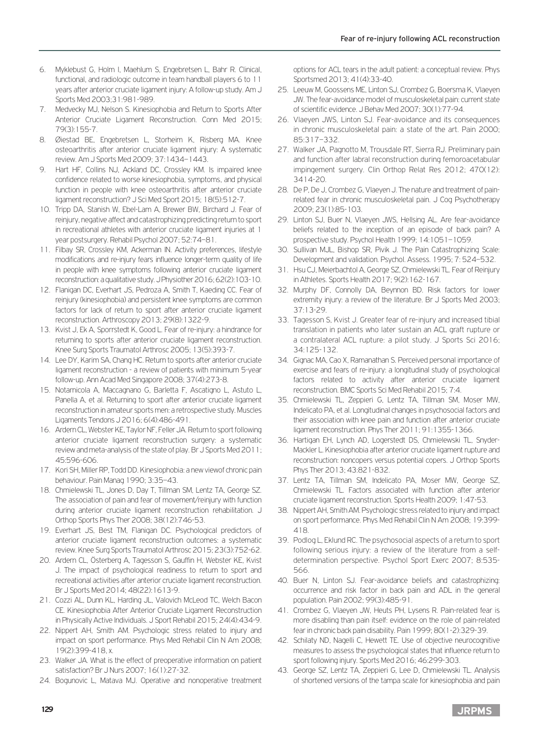- 6. Myklebust G, Holm I, Maehlum S, Engebretsen L, Bahr R. Clinical, functional, and radiologic outcome in team handball players 6 to 11 years after anterior cruciate ligament injury: A follow-up study. Am J Sports Med 2003;31:981-989.
- 7. Medvecky MJ, Nelson S. Kinesiophobia and Return to Sports After Anterior Cruciate Ligament Reconstruction. Conn Med 2015; 79(3):155-7.
- 8. Øiestad BE, Engebretsen L, Storheim K, Risberg MA. Knee osteoarthritis after anterior cruciate ligament injury: A systematic review. Am J Sports Med 2009; 37:1434–1443.
- 9. Hart HF, Collins NJ, Ackland DC, Crossley KM. Is impaired knee confidence related to worse kinesiophobia, symptoms, and physical function in people with knee osteoarthritis after anterior cruciate ligament reconstruction? J Sci Med Sport 2015; 18(5):512-7.
- 10. Tripp DA, Stanish W, Ebel-Lam A, Brewer BW, Birchard J. Fear of reinjury, negative affect and catastrophizing predicting return to sport in recreational athletes with anterior cruciate ligament injuries at 1 year postsurgery. Rehabil Psychol 2007; 52:74–81.
- 11. Filbay SR, Crossley KM, Ackerman IN. Activity preferences, lifestyle modifications and re-injury fears influence longer-term quality of life in people with knee symptoms following anterior cruciate ligament reconstruction: a qualitative study. J Physiother 2016; 62(2):103-10.
- 12. Flanigan DC, Everhart JS, Pedroza A, Smith T, Kaeding CC. Fear of reinjury (kinesiophobia) and persistent knee symptoms are common factors for lack of return to sport after anterior cruciate ligament reconstruction. Arthroscopy 2013; 29(8):1322-9.
- 13. Kvist J, Ek A, Sporrstedt K, Good L. Fear of re-injury: a hindrance for returning to sports after anterior cruciate ligament reconstruction. Knee Surg Sports Traumatol Arthrosc 2005; 13(5):393-7.
- 14. Lee DY, Karim SA, Chang HC. Return to sports after anterior cruciate ligament reconstruction - a review of patients with minimum 5-year follow-up. Ann Acad Med Singapore 2008; 37(4):273-8.
- 15. Notarnicola A, Maccagnano G, Barletta F, Ascatigno L, Astuto L, Panella A, et al. Returning to sport after anterior cruciate ligament reconstruction in amateur sports men: a retrospective study. Muscles Ligaments Tendons J 2016; 6(4):486-491.
- 16. Ardern CL, Webster KE, Taylor NF, Feller JA. Return to sport following anterior cruciate ligament reconstruction surgery: a systematic review and meta-analysis of the state of play. Br J Sports Med 2011; 45:596-606.
- 17. Kori SH, Miller RP, Todd DD. Kinesiophobia: a new viewof chronic pain behaviour. Pain Manag 1990; 3:35–43.
- 18. Chmielewski TL, Jones D, Day T, Tillman SM, Lentz TA, George SZ. The association of pain and fear of movement/reinjury with function during anterior cruciate ligament reconstruction rehabilitation. J Orthop Sports Phys Ther 2008; 38(12):746-53.
- 19. Everhart JS, Best TM, Flanigan DC. Psychological predictors of anterior cruciate ligament reconstruction outcomes: a systematic review. Knee Surg Sports Traumatol Arthrosc 2015; 23(3):752-62.
- 20. Ardern CL, Österberg A, Tagesson S, Gauffin H, Webster KE, Kvist J. The impact of psychological readiness to return to sport and recreational activities after anterior cruciate ligament reconstruction. Br J Sports Med 2014; 48(22):1613-9.
- 21. Cozzi AL, Dunn KL, Harding JL, Valovich McLeod TC, Welch Bacon CE. Kinesiophobia After Anterior Cruciate Ligament Reconstruction in Physically Active Individuals. J Sport Rehabil 2015; 24(4):434-9.
- 22. Nippert AH, Smith AM. Psychologic stress related to injury and impact on sport performance. Phys Med Rehabil Clin N Am 2008; 19(2):399-418, x.
- 23. Walker JA. What is the effect of preoperative information on patient satisfaction? Br J Nurs 2007; 16(1):27-32.
- 24. Bogunovic L, Matava MJ. Operative and nonoperative treatment

options for ACL tears in the adult patient: a conceptual review. Phys Sportsmed 2013; 41(4):33-40.

- 25. Leeuw M, Goossens ME, Linton SJ, Crombez G, Boersma K, Vlaeyen JW. The fear-avoidance model of musculoskeletal pain: current state of scientific evidence. J Behav Med 2007; 30(1):77-94.
- 26. Vlaeyen JWS, Linton SJ. Fear-avoidance and its consequences in chronic musculoskeletal pain: a state of the art. Pain 2000; 85:317–332.
- 27. Walker JA, Pagnotto M, Trousdale RT, Sierra RJ. Preliminary pain and function after labral reconstruction during femoroacetabular impingement surgery. Clin Orthop Relat Res 2012; 470(12): 3414-20.
- 28. De P, De J, Crombez G, Vlaeyen J. The nature and treatment of painrelated fear in chronic musculoskeletal pain. J Cog Psychotherapy 2009; 23(1):85-103.
- 29. Linton SJ, Buer N, Vlaeyen JWS, Hellsing AL. Are fear-avoidance beliefs related to the inception of an episode of back pain? A prospective study. Psychol Health 1999; 14:1051–1059.
- 30. Sullivan MJL, Bishop SR, Pivik J. The Pain Catastrophizing Scale: Development and validation. Psychol. Assess. 1995; 7: 524–532.
- 31. Hsu CJ, Meierbachtol A, George SZ, Chmielewski TL. Fear of Reinjury in Athletes. Sports Health 2017; 9(2):162-167.
- 32. Murphy DF, Connolly DA, Beynnon BD. Risk factors for lower extremity injury: a review of the literature. Br J Sports Med 2003; 37:13-29.
- 33. Tagesson S, Kvist J. Greater fear of re-injury and increased tibial translation in patients who later sustain an ACL graft rupture or a contralateral ACL rupture: a pilot study. J Sports Sci 2016; 34:125-132.
- 34. Gignac MA, Cao X, Ramanathan S. Perceived personal importance of exercise and fears of re-injury: a longitudinal study of psychological factors related to activity after anterior cruciate ligament reconstruction. BMC Sports Sci Med Rehabil 2015; 7:4.
- 35. Chmielewski TL, Zeppieri G, Lentz TA, Tillman SM, Moser MW, Indelicato PA, et al. Longitudinal changes in psychosocial factors and their association with knee pain and function after anterior cruciate ligament reconstruction. Phys Ther 2011; 91:1355-1366.
- 36. Hartigan EH, Lynch AD, Logerstedt DS, Chmielewski TL, Snyder-Mackler L. Kinesiophobia after anterior cruciate ligament rupture and reconstruction: noncopers versus potential copers. J Orthop Sports Phys Ther 2013; 43:821-832.
- 37. Lentz TA, Tillman SM, Indelicato PA, Moser MW, George SZ, Chmielewski TL. Factors associated with function after anterior cruciate ligament reconstruction. Sports Health 2009; 1:47-53.
- 38. Nippert AH, Smith AM. Psychologic stress related to injury and impact on sport performance. Phys Med Rehabil Clin N Am 2008; 19:399- 418.
- 39. Podlog L, Eklund RC. The psychosocial aspects of a return to sport following serious injury: a review of the literature from a selfdetermination perspective. Psychol Sport Exerc 2007; 8:535- 566.
- 40. Buer N, Linton SJ. Fear-avoidance beliefs and catastrophizing: occurrence and risk factor in back pain and ADL in the general population. Pain 2002; 99(3):485-91.
- 41. Crombez G, Vlaeyen JW, Heuts PH, Lysens R. Pain-related fear is more disabling than pain itself: evidence on the role of pain-related fear in chronic back pain disability. Pain 1999; 80(1-2):329-39.
- 42. Schilaty ND, Nagelli C, Hewett TE. Use of objective neurocognitive measures to assess the psychological states that influence return to sport following injury. Sports Med 2016; 46:299-303.
- 43. George SZ, Lentz TA, Zeppieri G, Lee D, Chmielewski TL. Analysis of shortened versions of the tampa scale for kinesiophobia and pain